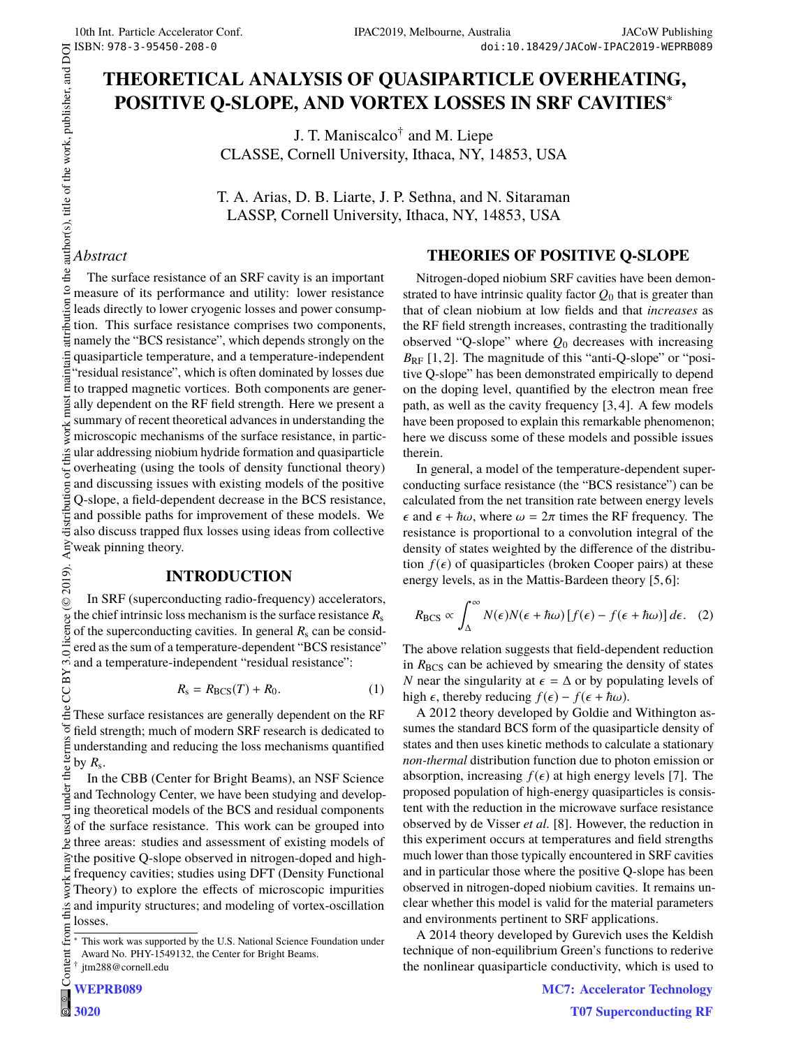# **THEORETICAL ANALYSIS OF QUASIPARTICLE OVERHEATING, POSITIVE Q-SLOPE, AND VORTEX LOSSES IN SRF CAVITIES**<sup>∗</sup>

J. T. Maniscalco† and M. Liepe CLASSE, Cornell University, Ithaca, NY, 14853, USA

T. A. Arias, D. B. Liarte, J. P. Sethna, and N. Sitaraman LASSP, Cornell University, Ithaca, NY, 14853, USA

# *Abstract*

© 2019). Any distribution of this work must maintain attribution to the author(s), title of the work, publisher, and DOI  $\geq$  2 a  $\geq$  2 a  $\geq$  3 a  $\geq$  3 a  $\geq$  3 a  $\geq$  3 a  $\geq$  3 a  $\geq$  4 a  $\geq$  3 a  $\geq$  5 a The surface resistance of an SRF cavity is an important  $\circ$ measure of its performance and utility: lower resistance leads directly to lower cryogenic losses and power consumption. This surface resistance comprises two components, namely the "BCS resistance", which depends strongly on the quasiparticle temperature, and a temperature-independent maint "residual resistance", which is often dominated by losses due to trapped magnetic vortices. Both components are generally dependent on the RF field strength. Here we present a summary of recent theoretical advances in understanding the work<sub>1</sub> microscopic mechanisms of the surface resistance, in particular addressing niobium hydride formation and quasiparticle of this overheating (using the tools of density functional theory) and discussing issues with existing models of the positive  $\overline{a}$ distributi Q-slope, a field-dependent decrease in the BCS resistance, and possible paths for improvement of these models. We also discuss trapped flux losses using ideas from collective weak pinning theory.

# **INTRODUCTION**

 $(© 2019).$ In SRF (superconducting radio-frequency) accelerators, the chief intrinsic loss mechanism is the surface resistance  $R_s$ licence of the superconducting cavities. In general  $R_s$  can be considered as the sum of a temperature-dependent "BCS resistance" BY 3.01 and a temperature-independent "residual resistance":

$$
R_{\rm s} = R_{\rm BCS}(T) + R_0. \tag{1}
$$

These surface resistances are generally dependent on the RF s of t field strength; much of modern SRF research is dedicated to terms understanding and reducing the loss mechanisms quantified by *R*<sup>s</sup> .  $\frac{1}{2}$ 

Content from this work may be used under the terms of the CC BY 3.0 licence ( $\epsilon$ In the CBB (Center for Bright Beams), an NSF Science under and Technology Center, we have been studying and developing theoretical models of the BCS and residual components  $used$ of the surface resistance. This work can be grouped into three areas: studies and assessment of existing models of the positive Q-slope observed in nitrogen-doped and highfrequency cavities; studies using DFT (Density Functional Theory) to explore the effects of microscopic impurities  $\frac{a}{2}$  and impurity structures; and modeling of vortex-oscillation losses. from (

g

# **THEORIES OF POSITIVE Q-SLOPE**

Nitrogen-doped niobium SRF cavities have been demonstrated to have intrinsic quality factor  $Q_0$  that is greater than that of clean niobium at low fields and that *increases* as the RF field strength increases, contrasting the traditionally observed "Q-slope" where *Q*<sup>0</sup> decreases with increasing  $B_{RF}$  [1, 2]. The magnitude of this "anti-Q-slope" or "positive Q-slope" has been demonstrated empirically to depend on the doping level, quantified by the electron mean free path, as well as the cavity frequency [3, 4]. A few models have been proposed to explain this remarkable phenomenon; here we discuss some of these models and possible issues therein.

In general, a model of the temperature-dependent superconducting surface resistance (the "BCS resistance") can be calculated from the net transition rate between energy levels  $\epsilon$  and  $\epsilon + \hbar \omega$ , where  $\omega = 2\pi$  times the RF frequency. The resistance is proportional to a convolution integral of the density of states weighted by the difference of the distribution  $f(\epsilon)$  of quasiparticles (broken Cooper pairs) at these energy levels, as in the Mattis-Bardeen theory [5, 6]:

$$
R_{\rm BCS} \propto \int_{\Delta}^{\infty} N(\epsilon) N(\epsilon + \hbar \omega) \left[ f(\epsilon) - f(\epsilon + \hbar \omega) \right] d\epsilon. \quad (2)
$$

The above relation suggests that field-dependent reduction in  $R_{\text{BCS}}$  can be achieved by smearing the density of states *N* near the singularity at  $\epsilon = \Delta$  or by populating levels of high  $\epsilon$ , thereby reducing  $f(\epsilon) - f(\epsilon + \hbar \omega)$ .

A 2012 theory developed by Goldie and Withington assumes the standard BCS form of the quasiparticle density of states and then uses kinetic methods to calculate a stationary *non-thermal* distribution function due to photon emission or absorption, increasing  $f(\epsilon)$  at high energy levels [7]. The proposed population of high-energy quasiparticles is consistent with the reduction in the microwave surface resistance observed by de Visser *et al.* [8]. However, the reduction in this experiment occurs at temperatures and field strengths much lower than those typically encountered in SRF cavities and in particular those where the positive Q-slope has been observed in nitrogen-doped niobium cavities. It remains unclear whether this model is valid for the material parameters and environments pertinent to SRF applications.

A 2014 theory developed by Gurevich uses the Keldish technique of non-equilibrium Green's functions to rederive the nonlinear quasiparticle conductivity, which is used to

This work was supported by the U.S. National Science Foundation under Award No. PHY-1549132, the Center for Bright Beams. Content

<sup>†</sup> jtm288@cornell.edu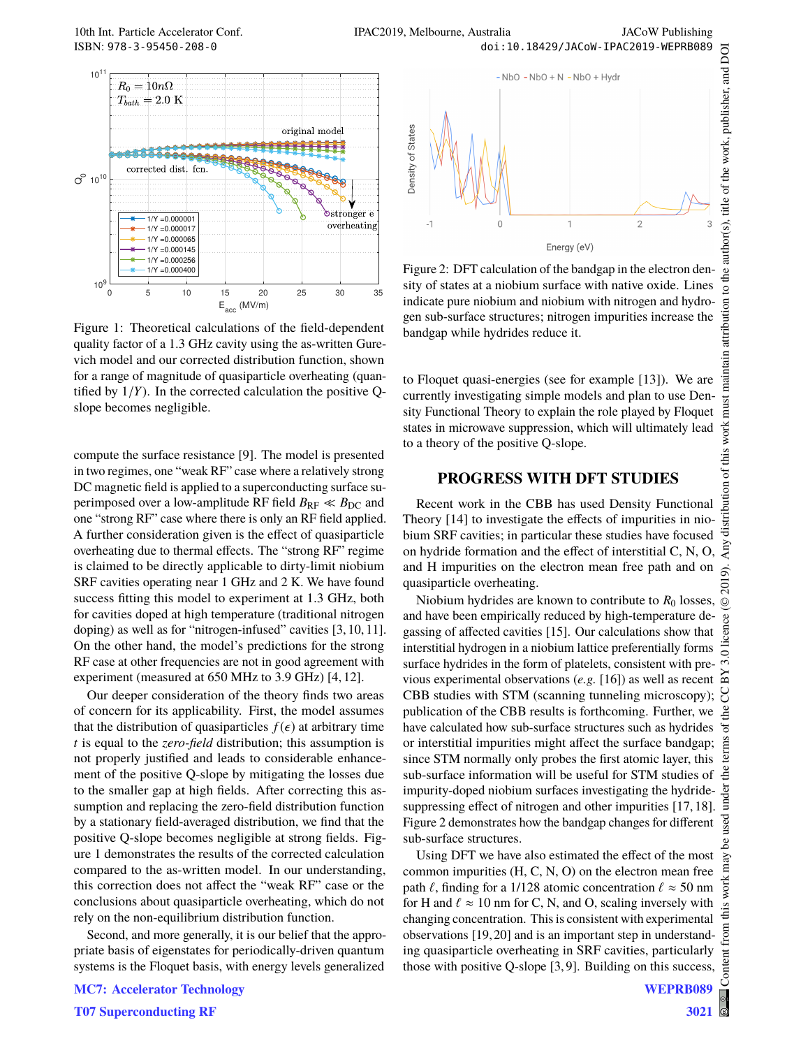

Figure 1: Theoretical calculations of the field-dependent quality factor of a 1.3 GHz cavity using the as-written Gurevich model and our corrected distribution function, shown for a range of magnitude of quasiparticle overheating (quantified by  $1/Y$ ). In the corrected calculation the positive Qslope becomes negligible.

compute the surface resistance [9]. The model is presented in two regimes, one "weak RF" case where a relatively strong DC magnetic field is applied to a superconducting surface superimposed over a low-amplitude RF field  $B_{RF} \ll B_{DC}$  and one "strong RF" case where there is only an RF field applied. A further consideration given is the effect of quasiparticle overheating due to thermal effects. The "strong RF" regime is claimed to be directly applicable to dirty-limit niobium SRF cavities operating near 1 GHz and 2 K. We have found success fitting this model to experiment at 1.3 GHz, both for cavities doped at high temperature (traditional nitrogen doping) as well as for "nitrogen-infused" cavities [3, 10, 11]. On the other hand, the model's predictions for the strong RF case at other frequencies are not in good agreement with experiment (measured at 650 MHz to 3.9 GHz) [4, 12].

Our deeper consideration of the theory finds two areas of concern for its applicability. First, the model assumes that the distribution of quasiparticles  $f(\epsilon)$  at arbitrary time *t* is equal to the *zero-field* distribution; this assumption is not properly justified and leads to considerable enhancement of the positive Q-slope by mitigating the losses due to the smaller gap at high fields. After correcting this assumption and replacing the zero-field distribution function by a stationary field-averaged distribution, we find that the positive Q-slope becomes negligible at strong fields. Figure 1 demonstrates the results of the corrected calculation compared to the as-written model. In our understanding, this correction does not affect the "weak RF" case or the conclusions about quasiparticle overheating, which do not rely on the non-equilibrium distribution function.

Second, and more generally, it is our belief that the appropriate basis of eigenstates for periodically-driven quantum systems is the Floquet basis, with energy levels generalized



Figure 2: DFT calculation of the bandgap in the electron density of states at a niobium surface with native oxide. Lines indicate pure niobium and niobium with nitrogen and hydrogen sub-surface structures; nitrogen impurities increase the bandgap while hydrides reduce it.

to Floquet quasi-energies (see for example [13]). We are currently investigating simple models and plan to use Density Functional Theory to explain the role played by Floquet states in microwave suppression, which will ultimately lead to a theory of the positive Q-slope.

#### **PROGRESS WITH DFT STUDIES**

Recent work in the CBB has used Density Functional Theory [14] to investigate the effects of impurities in niobium SRF cavities; in particular these studies have focused on hydride formation and the effect of interstitial C, N, O, and H impurities on the electron mean free path and on quasiparticle overheating.

Niobium hydrides are known to contribute to  $R_0$  losses. and have been empirically reduced by high-temperature degassing of affected cavities [15]. Our calculations show that interstitial hydrogen in a niobium lattice preferentially forms surface hydrides in the form of platelets, consistent with previous experimental observations (*e.g.* [16]) as well as recent CBB studies with STM (scanning tunneling microscopy); publication of the CBB results is forthcoming. Further, we have calculated how sub-surface structures such as hydrides or interstitial impurities might affect the surface bandgap; since STM normally only probes the first atomic layer, this sub-surface information will be useful for STM studies of impurity-doped niobium surfaces investigating the hydridesuppressing effect of nitrogen and other impurities [17, 18]. Figure 2 demonstrates how the bandgap changes for different sub-surface structures.

Using DFT we have also estimated the effect of the most common impurities (H, C, N, O) on the electron mean free path  $\ell$ , finding for a 1/128 atomic concentration  $\ell \approx 50$  nm for H and  $\ell \approx 10$  nm for C, N, and O, scaling inversely with changing concentration. This is consistent with experimental observations [19, 20] and is an important step in understanding quasiparticle overheating in SRF cavities, particularly those with positive Q-slope [3, 9]. Building on this success,

Content from this work may be used under the terms of the CC BY 3.0 licence ( $@$ 

 $\overline{\text{this}}$ from

Content

©

licence (

 $\dot{5.0}$ 줍 Y Å  $\sigma$ ã E Åe .<br>स Ě

naintain attribution

must

bution of this work

distril Any ŝ. న్లె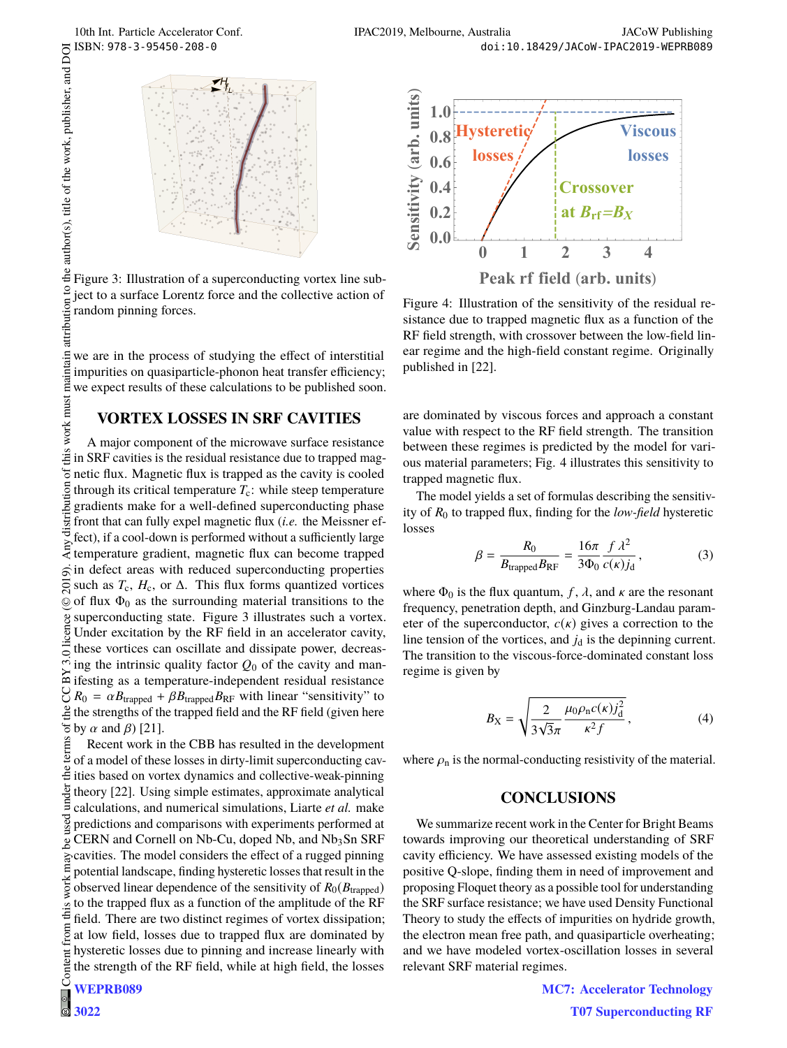

attribution to the author(s), title of the work, publisher, and DOI Figure 3: Illustration of a superconducting vortex line subject to a surface Lorentz force and the collective action of random pinning forces.

maintain we are in the process of studying the effect of interstitial impurities on quasiparticle-phonon heat transfer efficiency; we expect results of these calculations to be published soon.

## **VORTEX LOSSES IN SRF CAVITIES**

 $\frac{2019}{8}$ . Any distribution of this work must maintain attribution to the author(s), title of the work, publisher, and DOI  $\alpha$  or  $\alpha$  is  $\alpha$  in  $\alpha$  is  $\alpha$  is  $\alpha$  is  $\alpha$  is  $\alpha$  is  $\alpha$  is  $\alpha$  is  $\alpha$  is  $\alpha$  is work must A major component of the microwave surface resistance this in SRF cavities is the residual resistance due to trapped mag- $\sigma$ netic flux. Magnetic flux is trapped as the cavity is cooled distribution through its critical temperature  $T_c$ : while steep temperature gradients make for a well-defined superconducting phase front that can fully expel magnetic flux (*i.e.* the Meissner effect), if a cool-down is performed without a sufficiently large temperature gradient, magnetic flux can become trapped  $\vec{\infty}$  in defect areas with reduced superconducting properties  $\overline{5}$ such as  $T_c$ ,  $H_c$ , or  $\Delta$ . This flux forms quantized vortices  $\circledcirc$  of flux  $\Phi_0$  as the surrounding material transitions to the superconducting state. Figure 3 illustrates such a vortex. Under excitation by the RF field in an accelerator cavity, these vortices can oscillate and dissipate power, decreasing the intrinsic quality factor *Q*<sup>0</sup> of the cavity and manifesting as a temperature-independent residual resistance  $R_0 = \alpha B_{\text{trapped}} + \beta B_{\text{trapped}} B_{\text{RF}}$  with linear "sensitivity" to the strengths of the tranned field and the RE field (given here  $\frac{1}{2}$  the strengths of the trapped field and the RF field (given here

Content from this work may be used under the terms of the CC BY 3.0 licence ( $\epsilon$  $\frac{1}{6}$  by  $\alpha$  and  $\beta$ ) [21].<br>  $\frac{2}{3}$  Recent work in<br>  $\frac{1}{2}$  of a model of thes Recent work in the CBB has resulted in the development of a model of these losses in dirty-limit superconducting cav- $\stackrel{1}{\equiv}$  ities based on vortex dynamics and collective-weak-pinning under theory [22]. Using simple estimates, approximate analytical calculations, and numerical simulations, Liarte *et al.* make predictions and comparisons with experiments performed at  $CERN$  and Cornell on Nb-Cu, doped Nb, and  $Nb<sub>3</sub>Sn$  SRF cavities. The model considers the effect of a rugged pinning potential landscape, finding hysteretic losses that result in the observed linear dependence of the sensitivity of *R*0(*B*trapped) this to the trapped flux as a function of the amplitude of the RF field. There are two distinct regimes of vortex dissipation; from at low field, losses due to trapped flux are dominated by hysteretic losses due to pinning and increase linearly with Content the strength of the RF field, while at high field, the losses **WEPRB089**





Figure 4: Illustration of the sensitivity of the residual resistance due to trapped magnetic flux as a function of the RF field strength, with crossover between the low-field linear regime and the high-field constant regime. Originally published in [22].

are dominated by viscous forces and approach a constant value with respect to the RF field strength. The transition between these regimes is predicted by the model for various material parameters; Fig. 4 illustrates this sensitivity to trapped magnetic flux.

The model yields a set of formulas describing the sensitivity of *R*<sup>0</sup> to trapped flux, finding for the *low-field* hysteretic losses

$$
\beta = \frac{R_0}{B_{\text{trapped}} B_{\text{RF}}} = \frac{16\pi}{3\Phi_0} \frac{f \lambda^2}{c(\kappa) j_d},\tag{3}
$$

where  $\Phi_0$  is the flux quantum, *f*,  $\lambda$ , and  $\kappa$  are the resonant frequency, penetration depth, and Ginzburg-Landau parameter of the superconductor,  $c(\kappa)$  gives a correction to the line tension of the vortices, and  $j_d$  is the depinning current. The transition to the viscous-force-dominated constant loss regime is given by

$$
B_{\rm X} = \sqrt{\frac{2}{3\sqrt{3}\pi} \frac{\mu_0 \rho_{\rm n} c(\kappa) j_{\rm d}^2}{\kappa^2 f}},
$$
 (4)

where  $\rho_n$  is the normal-conducting resistivity of the material.

## **CONCLUSIONS**

We summarize recent work in the Center for Bright Beams towards improving our theoretical understanding of SRF cavity efficiency. We have assessed existing models of the positive Q-slope, finding them in need of improvement and proposing Floquet theory as a possible tool for understanding the SRF surface resistance; we have used Density Functional Theory to study the effects of impurities on hydride growth, the electron mean free path, and quasiparticle overheating; and we have modeled vortex-oscillation losses in several relevant SRF material regimes.

> **MC7: Accelerator Technology T07 Superconducting RF**